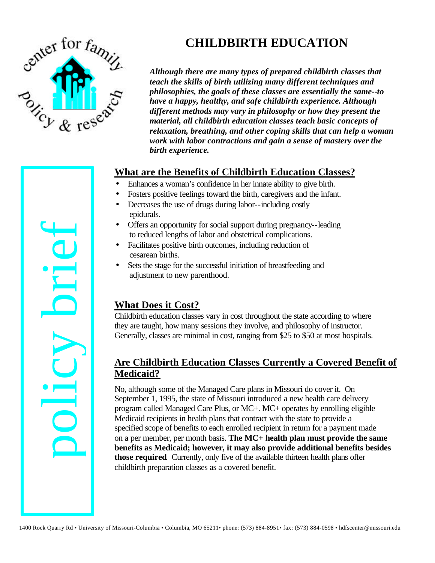

# **CHILDBIRTH EDUCATION**

*Although there are many types of prepared childbirth classes that teach the skills of birth utilizing many different techniques and philosophies, the goals of these classes are essentially the same--to have a happy, healthy, and safe childbirth experience. Although different methods may vary in philosophy or how they present the material, all childbirth education classes teach basic concepts of relaxation, breathing, and other coping skills that can help a woman work with labor contractions and gain a sense of mastery over the birth experience.*

## **What are the Benefits of Childbirth Education Classes?**

- Enhances a woman's confidence in her innate ability to give birth.
- Fosters positive feelings toward the birth, caregivers and the infant.
- Decreases the use of drugs during labor--including costly epidurals.
- Offers an opportunity for social support during pregnancy--leading to reduced lengths of labor and obstetrical complications.
- Facilitates positive birth outcomes, including reduction of cesarean births.
- Sets the stage for the successful initiation of breastfeeding and adjustment to new parenthood.

# **What Does it Cost?**

Childbirth education classes vary in cost throughout the state according to where they are taught, how many sessions they involve, and philosophy of instructor. Generally, classes are minimal in cost, ranging from \$25 to \$50 at most hospitals.

# **Are Childbirth Education Classes Currently a Covered Benefit of Medicaid?**

No, although some of the Managed Care plans in Missouri do cover it. On September 1, 1995, the state of Missouri introduced a new health care delivery program called Managed Care Plus, or MC+. MC+ operates by enrolling eligible Medicaid recipients in health plans that contract with the state to provide a specified scope of benefits to each enrolled recipient in return for a payment made on a per member, per month basis. **The MC+ health plan must provide the same benefits as Medicaid; however, it may also provide additional benefits besides those required**. Currently, only five of the available thirteen health plans offer childbirth preparation classes as a covered benefit. • Offices an opportunity for social support during pregnancy-leading<br>
• Tecnlitates positive birth outcomes, including reduction of<br>
• Celes the successful initiation of breastfecting and<br>
• Columbia, Mo and the successf